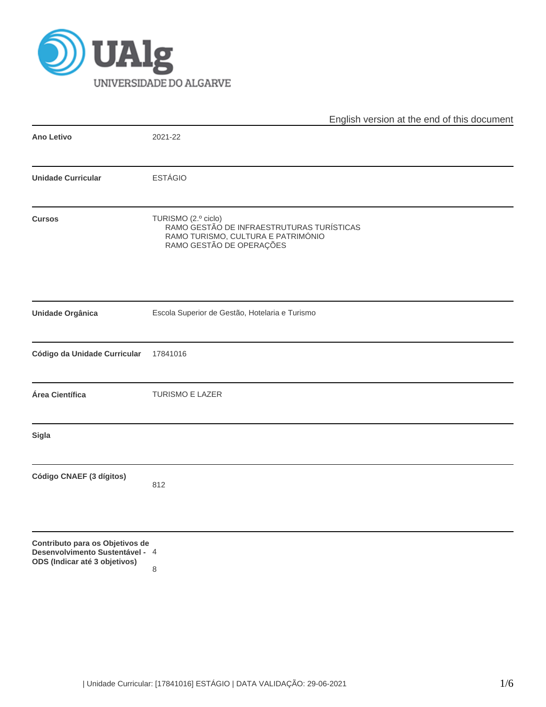

|                                                                                                     | English version at the end of this document                                                                                        |  |  |
|-----------------------------------------------------------------------------------------------------|------------------------------------------------------------------------------------------------------------------------------------|--|--|
| <b>Ano Letivo</b>                                                                                   | 2021-22                                                                                                                            |  |  |
| <b>Unidade Curricular</b>                                                                           | <b>ESTÁGIO</b>                                                                                                                     |  |  |
| <b>Cursos</b>                                                                                       | TURISMO (2.º ciclo)<br>RAMO GESTÃO DE INFRAESTRUTURAS TURÍSTICAS<br>RAMO TURISMO, CULTURA E PATRIMÓNIO<br>RAMO GESTÃO DE OPERAÇÕES |  |  |
| Unidade Orgânica                                                                                    | Escola Superior de Gestão, Hotelaria e Turismo                                                                                     |  |  |
| Código da Unidade Curricular                                                                        | 17841016                                                                                                                           |  |  |
| Área Científica                                                                                     | TURISMO E LAZER                                                                                                                    |  |  |
| Sigla                                                                                               |                                                                                                                                    |  |  |
| Código CNAEF (3 dígitos)                                                                            | 812                                                                                                                                |  |  |
| Contributo para os Objetivos de<br>Desenvolvimento Sustentável - 4<br>ODS (Indicar até 3 objetivos) | 8                                                                                                                                  |  |  |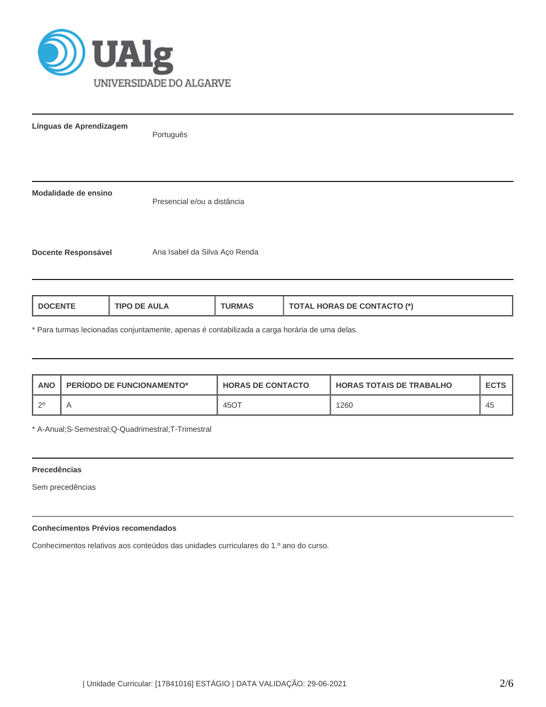

| Línguas de Aprendizagem    | Português                     |
|----------------------------|-------------------------------|
| Modalidade de ensino       | Presencial e/ou a distância   |
| <b>Docente Responsável</b> | Ana Isabel da Silva Aço Renda |

| <b>TOTAL HORAS DE CONTACTO (*)</b><br><b>TIPO DE AULA</b><br><b>DOCENTE</b><br><b>TURMAS</b> |
|----------------------------------------------------------------------------------------------|
|----------------------------------------------------------------------------------------------|

\* Para turmas lecionadas conjuntamente, apenas é contabilizada a carga horária de uma delas.

| <b>ANO</b> | <b>PERIODO DE FUNCIONAMENTO*</b> | <b>HORAS DE CONTACTO</b> | <b>HORAS TOTAIS DE TRABALHO</b> | <b>ECTS</b> |
|------------|----------------------------------|--------------------------|---------------------------------|-------------|
| ി റ0       |                                  | 45OT                     | 1260                            | 45          |

\* A-Anual;S-Semestral;Q-Quadrimestral;T-Trimestral

## **Precedências**

Sem precedências

# **Conhecimentos Prévios recomendados**

Conhecimentos relativos aos conteúdos das unidades curriculares do 1.º ano do curso.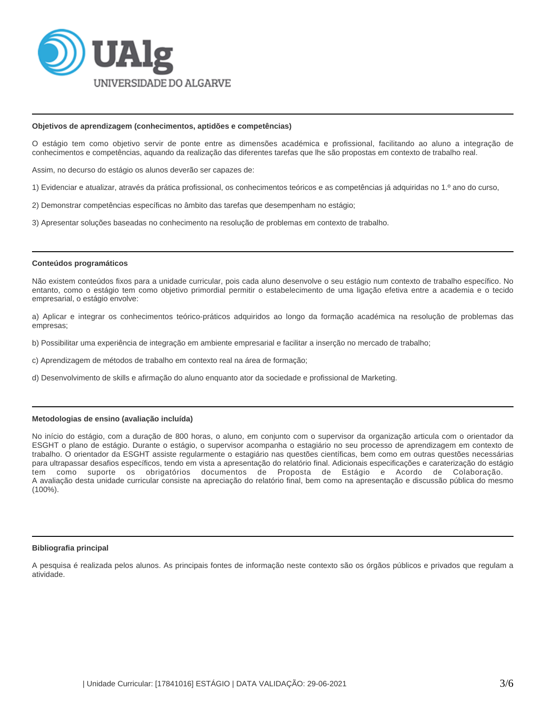

#### **Objetivos de aprendizagem (conhecimentos, aptidões e competências)**

O estágio tem como objetivo servir de ponte entre as dimensões académica e profissional, facilitando ao aluno a integração de conhecimentos e competências, aquando da realização das diferentes tarefas que lhe são propostas em contexto de trabalho real.

Assim, no decurso do estágio os alunos deverão ser capazes de:

- 1) Evidenciar e atualizar, através da prática profissional, os conhecimentos teóricos e as competências já adquiridas no 1.º ano do curso,
- 2) Demonstrar competências específicas no âmbito das tarefas que desempenham no estágio;
- 3) Apresentar soluções baseadas no conhecimento na resolução de problemas em contexto de trabalho.

#### **Conteúdos programáticos**

Não existem conteúdos fixos para a unidade curricular, pois cada aluno desenvolve o seu estágio num contexto de trabalho específico. No entanto, como o estágio tem como objetivo primordial permitir o estabelecimento de uma ligação efetiva entre a academia e o tecido empresarial, o estágio envolve:

a) Aplicar e integrar os conhecimentos teórico-práticos adquiridos ao longo da formação académica na resolução de problemas das empresas;

- b) Possibilitar uma experiência de integração em ambiente empresarial e facilitar a inserção no mercado de trabalho;
- c) Aprendizagem de métodos de trabalho em contexto real na área de formação;
- d) Desenvolvimento de skills e afirmação do aluno enquanto ator da sociedade e profissional de Marketing.

#### **Metodologias de ensino (avaliação incluída)**

No início do estágio, com a duração de 800 horas, o aluno, em conjunto com o supervisor da organização articula com o orientador da ESGHT o plano de estágio. Durante o estágio, o supervisor acompanha o estagiário no seu processo de aprendizagem em contexto de trabalho. O orientador da ESGHT assiste regularmente o estagiário nas questões científicas, bem como em outras questões necessárias para ultrapassar desafios específicos, tendo em vista a apresentação do relatório final. Adicionais especificações e caraterização do estágio tem como suporte os obrigatórios documentos de Proposta de Estágio e Acordo de Colaboração. A avaliação desta unidade curricular consiste na apreciação do relatório final, bem como na apresentação e discussão pública do mesmo (100%).

#### **Bibliografia principal**

A pesquisa é realizada pelos alunos. As principais fontes de informação neste contexto são os órgãos públicos e privados que regulam a atividade.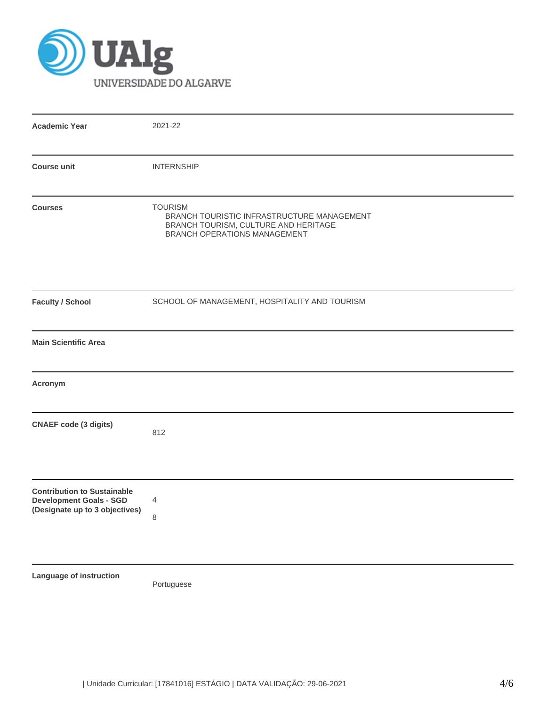

| <b>Academic Year</b>                                                                                   | 2021-22                                                                                                                              |
|--------------------------------------------------------------------------------------------------------|--------------------------------------------------------------------------------------------------------------------------------------|
| <b>Course unit</b>                                                                                     | <b>INTERNSHIP</b>                                                                                                                    |
| <b>Courses</b>                                                                                         | <b>TOURISM</b><br>BRANCH TOURISTIC INFRASTRUCTURE MANAGEMENT<br>BRANCH TOURISM, CULTURE AND HERITAGE<br>BRANCH OPERATIONS MANAGEMENT |
| <b>Faculty / School</b>                                                                                | SCHOOL OF MANAGEMENT, HOSPITALITY AND TOURISM                                                                                        |
| <b>Main Scientific Area</b>                                                                            |                                                                                                                                      |
| Acronym                                                                                                |                                                                                                                                      |
| <b>CNAEF</b> code (3 digits)                                                                           | 812                                                                                                                                  |
| <b>Contribution to Sustainable</b><br><b>Development Goals - SGD</b><br>(Designate up to 3 objectives) | 4<br>8                                                                                                                               |
| Language of instruction                                                                                | Portuguese                                                                                                                           |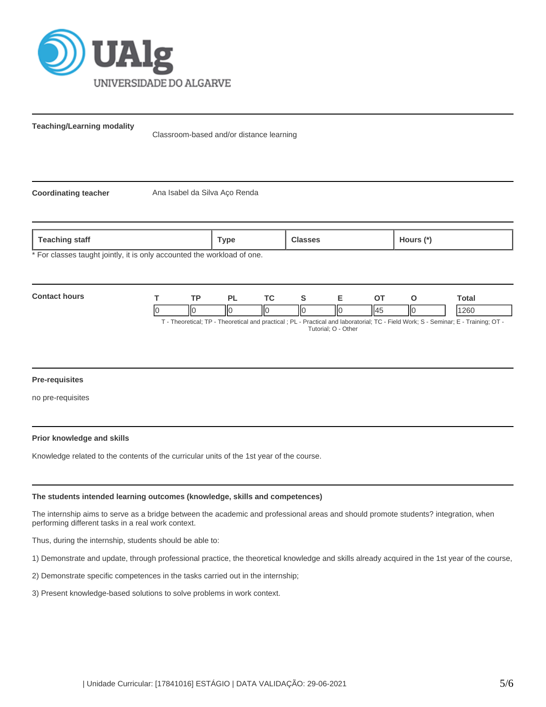

**Teaching/Learning modality**

Classroom-based and/or distance learning

**Coordinating teacher** Ana Isabel da Silva Aço Renda

**Teaching staff Type Classes Hours (\*)**

For classes taught jointly, it is only accounted the workload of one.



## **Pre-requisites**

no pre-requisites

## **Prior knowledge and skills**

Knowledge related to the contents of the curricular units of the 1st year of the course.

## **The students intended learning outcomes (knowledge, skills and competences)**

The internship aims to serve as a bridge between the academic and professional areas and should promote students? integration, when performing different tasks in a real work context.

Thus, during the internship, students should be able to:

1) Demonstrate and update, through professional practice, the theoretical knowledge and skills already acquired in the 1st year of the course,

2) Demonstrate specific competences in the tasks carried out in the internship;

3) Present knowledge-based solutions to solve problems in work context.